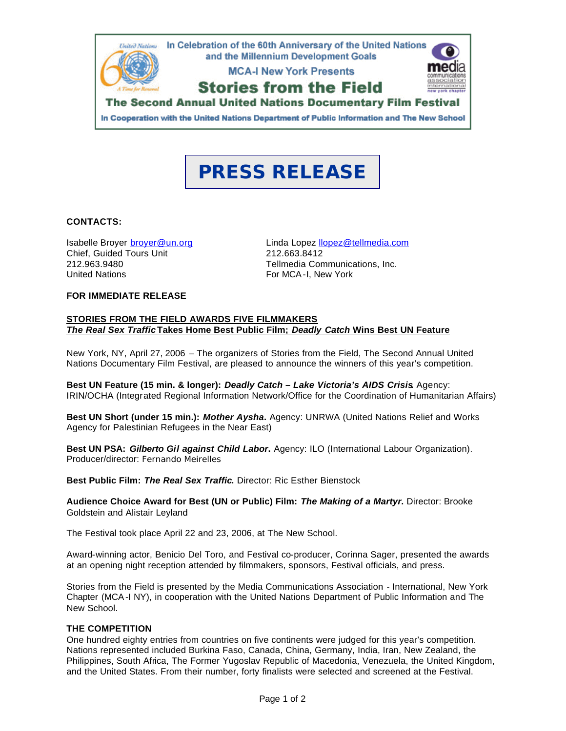

# **PRESS RELEASE**

#### **CONTACTS:**

Chief, Guided Tours Unit 212.663.8412<br>212.963.9480<br>Tellmedia Con United Nations **For MCA-I, New York** 

Isabelle Broyer broyer@un.org Linda Lopez llopez@tellmedia.com Tellmedia Communications, Inc.

### **FOR IMMEDIATE RELEASE**

#### **STORIES FROM THE FIELD AWARDS FIVE FILMMAKERS** *The Real Sex Traffic* **Takes Home Best Public Film;** *Deadly Catch* **Wins Best UN Feature**

New York, NY, April 27, 2006 – The organizers of Stories from the Field, The Second Annual United Nations Documentary Film Festival, are pleased to announce the winners of this year's competition.

**Best UN Feature (15 min. & longer):** *Deadly Catch – Lake Victoria's AIDS Crisis***.** Agency: IRIN/OCHA (Integrated Regional Information Network/Office for the Coordination of Humanitarian Affairs)

**Best UN Short (under 15 min.):** *Mother Aysha***.** Agency: UNRWA (United Nations Relief and Works Agency for Palestinian Refugees in the Near East)

**Best UN PSA:** *Gilberto Gil against Child Labor***.** Agency: ILO (International Labour Organization). Producer/director: Fernando Meirelles

**Best Public Film:** *The Real Sex Traffic***.** Director: Ric Esther Bienstock

**Audience Choice Award for Best (UN or Public) Film:** *The Making of a Martyr***.** Director: Brooke Goldstein and Alistair Leyland

The Festival took place April 22 and 23, 2006, at The New School.

Award-winning actor, Benicio Del Toro, and Festival co-producer, Corinna Sager, presented the awards at an opening night reception attended by filmmakers, sponsors, Festival officials, and press.

Stories from the Field is presented by the Media Communications Association - International, New York Chapter (MCA-I NY), in cooperation with the United Nations Department of Public Information and The New School.

#### **THE COMPETITION**

One hundred eighty entries from countries on five continents were judged for this year's competition. Nations represented included Burkina Faso, Canada, China, Germany, India, Iran, New Zealand, the Philippines, South Africa, The Former Yugoslav Republic of Macedonia, Venezuela, the United Kingdom, and the United States. From their number, forty finalists were selected and screened at the Festival.